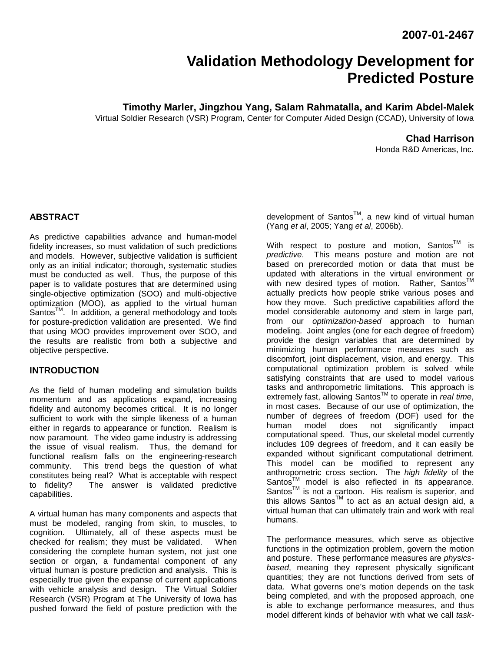# **Validation Methodology Development for Predicted Posture**

**Timothy Marler, Jingzhou Yang, Salam Rahmatalla, and Karim Abdel-Malek** 

Virtual Soldier Research (VSR) Program, Center for Computer Aided Design (CCAD), University of Iowa

# **Chad Harrison**

Honda R&D Americas, Inc.

# **ABSTRACT**

As predictive capabilities advance and human-model fidelity increases, so must validation of such predictions and models. However, subjective validation is sufficient only as an initial indicator; thorough, systematic studies must be conducted as well. Thus, the purpose of this paper is to validate postures that are determined using single-objective optimization (SOO) and multi-objective optimization (MOO), as applied to the virtual human Santos<sup>™</sup>. In addition, a general methodology and tools for posture-prediction validation are presented. We find that using MOO provides improvement over SOO, and the results are realistic from both a subjective and objective perspective.

# **INTRODUCTION**

As the field of human modeling and simulation builds momentum and as applications expand, increasing fidelity and autonomy becomes critical. It is no longer sufficient to work with the simple likeness of a human either in regards to appearance or function. Realism is now paramount. The video game industry is addressing the issue of visual realism. Thus, the demand for functional realism falls on the engineering-research community. This trend begs the question of what constitutes being real? What is acceptable with respect to fidelity? The answer is validated predictive capabilities.

A virtual human has many components and aspects that must be modeled, ranging from skin, to muscles, to cognition. Ultimately, all of these aspects must be checked for realism; they must be validated. When considering the complete human system, not just one section or organ, a fundamental component of any virtual human is posture prediction and analysis. This is especially true given the expanse of current applications with vehicle analysis and design. The Virtual Soldier Research (VSR) Program at The University of Iowa has pushed forward the field of posture prediction with the

development of Santos<sup>™</sup>, a new kind of virtual human (Yang et al, 2005; Yang et al, 2006b).

With respect to posture and motion, Santos<sup>TM</sup> is predictive. This means posture and motion are not based on prerecorded motion or data that must be updated with alterations in the virtual environment or with new desired types of motion. Rather, Santos<sup>TM</sup> actually predicts how people strike various poses and how they move. Such predictive capabilities afford the model considerable autonomy and stem in large part, from our optimization-based approach to human modeling. Joint angles (one for each degree of freedom) provide the design variables that are determined by minimizing human performance measures such as discomfort, joint displacement, vision, and energy. This computational optimization problem is solved while satisfying constraints that are used to model various tasks and anthropometric limitations. This approach is extremely fast, allowing Santos<sup>™</sup> to operate in *real time*, in most cases. Because of our use of optimization, the number of degrees of freedom (DOF) used for the human model does not significantly impact computational speed. Thus, our skeletal model currently includes 109 degrees of freedom, and it can easily be expanded without significant computational detriment. This model can be modified to represent any anthropometric cross section. The high fidelity of the Santos<sup>TM</sup> model is also reflected in its appearance. Santos<sup>™</sup> is not a cartoon. His realism is superior, and this allows Santos™ to act as an actual design aid, a virtual human that can ultimately train and work with real humans.

The performance measures, which serve as objective functions in the optimization problem, govern the motion and posture. These performance measures are physicsbased, meaning they represent physically significant quantities; they are not functions derived from sets of data. What governs one's motion depends on the task being completed, and with the proposed approach, one is able to exchange performance measures, and thus model different kinds of behavior with what we call task-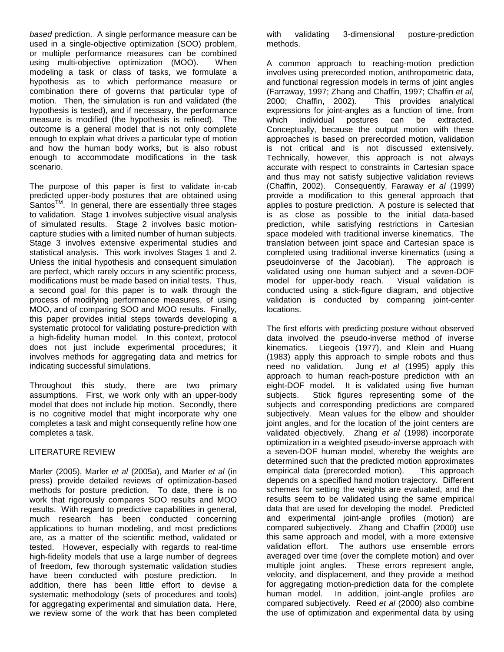based prediction. A single performance measure can be used in a single-objective optimization (SOO) problem, or multiple performance measures can be combined using multi-objective optimization (MOO). When modeling a task or class of tasks, we formulate a hypothesis as to which performance measure or combination there of governs that particular type of motion. Then, the simulation is run and validated (the hypothesis is tested), and if necessary, the performance measure is modified (the hypothesis is refined). The outcome is a general model that is not only complete enough to explain what drives a particular type of motion and how the human body works, but is also robust enough to accommodate modifications in the task scenario.

The purpose of this paper is first to validate in-cab predicted upper-body postures that are obtained using  $Santos<sup>TM</sup>$ . In general, there are essentially three stages to validation. Stage 1 involves subjective visual analysis of simulated results. Stage 2 involves basic motioncapture studies with a limited number of human subjects. Stage 3 involves extensive experimental studies and statistical analysis. This work involves Stages 1 and 2. Unless the initial hypothesis and consequent simulation are perfect, which rarely occurs in any scientific process, modifications must be made based on initial tests. Thus, a second goal for this paper is to walk through the process of modifying performance measures, of using MOO, and of comparing SOO and MOO results. Finally, this paper provides initial steps towards developing a systematic protocol for validating posture-prediction with a high-fidelity human model. In this context, protocol does not just include experimental procedures; it involves methods for aggregating data and metrics for indicating successful simulations.

Throughout this study, there are two primary assumptions. First, we work only with an upper-body model that does not include hip motion. Secondly, there is no cognitive model that might incorporate why one completes a task and might consequently refine how one completes a task.

# LITERATURE REVIEW

Marler (2005), Marler et al (2005a), and Marler et al (in press) provide detailed reviews of optimization-based methods for posture prediction. To date, there is no work that rigorously compares SOO results and MOO results. With regard to predictive capabilities in general, much research has been conducted concerning applications to human modeling, and most predictions are, as a matter of the scientific method, validated or tested. However, especially with regards to real-time high-fidelity models that use a large number of degrees of freedom, few thorough systematic validation studies have been conducted with posture prediction. In addition, there has been little effort to devise a systematic methodology (sets of procedures and tools) for aggregating experimental and simulation data. Here, we review some of the work that has been completed

with validating 3-dimensional posture-prediction methods.

A common approach to reaching-motion prediction involves using prerecorded motion, anthropometric data, and functional regression models in terms of joint angles (Farraway, 1997; Zhang and Chaffin, 1997; Chaffin et al, 2000; Chaffin, 2002). This provides analytical expressions for joint-angles as a function of time, from which individual postures can be extracted. Conceptually, because the output motion with these approaches is based on prerecorded motion, validation is not critical and is not discussed extensively. Technically, however, this approach is not always accurate with respect to constraints in Cartesian space and thus may not satisfy subjective validation reviews (Chaffin, 2002). Consequently, Faraway et al (1999) provide a modification to this general approach that applies to posture prediction. A posture is selected that is as close as possible to the initial data-based prediction, while satisfying restrictions in Cartesian space modeled with traditional inverse kinematics. The translation between joint space and Cartesian space is completed using traditional inverse kinematics (using a pseudoinverse of the Jacobian). The approach is validated using one human subject and a seven-DOF model for upper-body reach. Visual validation is conducted using a stick-figure diagram, and objective validation is conducted by comparing joint-center locations.

The first efforts with predicting posture without observed data involved the pseudo-inverse method of inverse kinematics. Liegeois (1977), and Klein and Huang (1983) apply this approach to simple robots and thus need no validation. Jung et al (1995) apply this approach to human reach-posture prediction with an eight-DOF model. It is validated using five human subjects. Stick figures representing some of the subjects and corresponding predictions are compared subjectively. Mean values for the elbow and shoulder joint angles, and for the location of the joint centers are validated objectively. Zhang et al (1998) incorporate optimization in a weighted pseudo-inverse approach with a seven-DOF human model, whereby the weights are determined such that the predicted motion approximates empirical data (prerecorded motion). This approach depends on a specified hand motion trajectory. Different schemes for setting the weights are evaluated, and the results seem to be validated using the same empirical data that are used for developing the model. Predicted and experimental joint-angle profiles (motion) are compared subjectively. Zhang and Chaffin (2000) use this same approach and model, with a more extensive validation effort. The authors use ensemble errors averaged over time (over the complete motion) and over multiple joint angles. These errors represent angle, velocity, and displacement, and they provide a method for aggregating motion-prediction data for the complete human model. In addition, joint-angle profiles are compared subjectively. Reed et al (2000) also combine the use of optimization and experimental data by using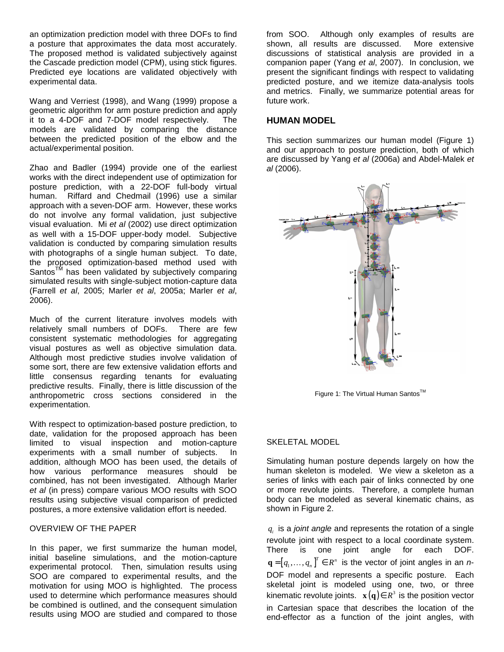an optimization prediction model with three DOFs to find a posture that approximates the data most accurately. The proposed method is validated subjectively against the Cascade prediction model (CPM), using stick figures. Predicted eye locations are validated objectively with experimental data.

Wang and Verriest (1998), and Wang (1999) propose a geometric algorithm for arm posture prediction and apply it to a 4-DOF and 7-DOF model respectively. The models are validated by comparing the distance between the predicted position of the elbow and the actual/experimental position.

Zhao and Badler (1994) provide one of the earliest works with the direct independent use of optimization for posture prediction, with a 22-DOF full-body virtual human. Riffard and Chedmail (1996) use a similar approach with a seven-DOF arm. However, these works do not involve any formal validation, just subjective visual evaluation. Mi et al (2002) use direct optimization as well with a 15-DOF upper-body model. Subjective validation is conducted by comparing simulation results with photographs of a single human subject. To date, the proposed optimization-based method used with Santos<sup>TM</sup> has been validated by subjectively comparing simulated results with single-subject motion-capture data (Farrell et al, 2005; Marler et al, 2005a; Marler et al, 2006).

Much of the current literature involves models with relatively small numbers of DOFs. There are few consistent systematic methodologies for aggregating visual postures as well as objective simulation data. Although most predictive studies involve validation of some sort, there are few extensive validation efforts and little consensus regarding tenants for evaluating predictive results. Finally, there is little discussion of the anthropometric cross sections considered in the experimentation.

With respect to optimization-based posture prediction, to date, validation for the proposed approach has been limited to visual inspection and motion-capture experiments with a small number of subjects. In addition, although MOO has been used, the details of how various performance measures should be combined, has not been investigated. Although Marler et al (in press) compare various MOO results with SOO results using subjective visual comparison of predicted postures, a more extensive validation effort is needed.

### OVERVIEW OF THE PAPER

In this paper, we first summarize the human model, initial baseline simulations, and the motion-capture experimental protocol. Then, simulation results using SOO are compared to experimental results, and the motivation for using MOO is highlighted. The process used to determine which performance measures should be combined is outlined, and the consequent simulation results using MOO are studied and compared to those

from SOO. Although only examples of results are shown, all results are discussed. More extensive discussions of statistical analysis are provided in a companion paper (Yang et al, 2007). In conclusion, we present the significant findings with respect to validating predicted posture, and we itemize data-analysis tools and metrics. Finally, we summarize potential areas for future work.

# **HUMAN MODEL**

This section summarizes our human model (Figure 1) and our approach to posture prediction, both of which are discussed by Yang et al (2006a) and Abdel-Malek et al (2006).



Figure 1: The Virtual Human Santos™

### SKELETAL MODEL

Simulating human posture depends largely on how the human skeleton is modeled. We view a skeleton as a series of links with each pair of links connected by one or more revolute joints. Therefore, a complete human body can be modeled as several kinematic chains, as shown in Figure 2.

 $q_i$  is a *joint angle* and represents the rotation of a single revolute joint with respect to a local coordinate system. There is one joint angle for each DOF.  $\mathbf{q} = \left[ q_1, \ldots, q_n \right]^T \in R^n$  is the vector of joint angles in an n-DOF model and represents a specific posture. Each skeletal joint is modeled using one, two, or three kinematic revolute joints.  $\mathbf{x}(\mathbf{q}) \in R^3$  is the position vector in Cartesian space that describes the location of the end-effector as a function of the joint angles, with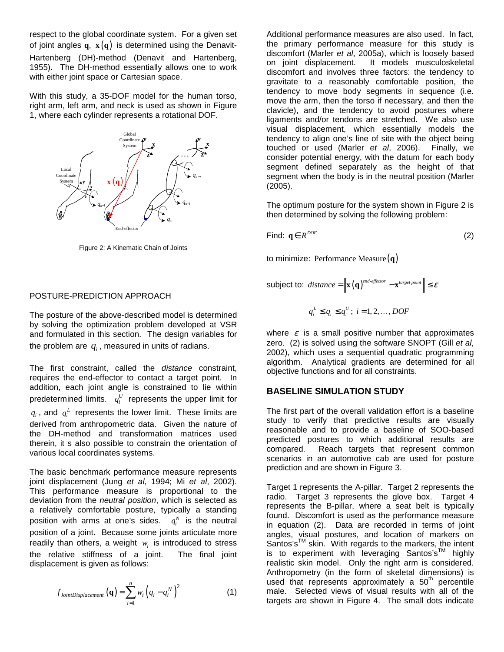respect to the global coordinate system. For a given set of joint angles  $q$ ,  $x(q)$  is determined using the Denavit-Hartenberg (DH)-method (Denavit and Hartenberg, 1955). The DH-method essentially allows one to work with either joint space or Cartesian space.

With this study, a 35-DOF model for the human torso, right arm, left arm, and neck is used as shown in Figure 1, where each cylinder represents a rotational DOF.



Figure 2: A Kinematic Chain of Joints

#### POSTURE-PREDICTION APPROACH

The posture of the above-described model is determined by solving the optimization problem developed at VSR and formulated in this section. The design variables for the problem are  $q_i$ , measured in units of radians.

The first constraint, called the distance constraint, requires the end-effector to contact a target point. In addition, each joint angle is constrained to lie within predetermined limits.  $q_i^U$  represents the upper limit for  $q_i$ , and  $q_i^L$  represents the lower limit. These limits are derived from anthropometric data. Given the nature of the DH-method and transformation matrices used therein, it s also possible to constrain the orientation of various local coordinates systems.

The basic benchmark performance measure represents joint displacement (Jung et al, 1994; Mi et al, 2002). This performance measure is proportional to the deviation from the neutral position, which is selected as a relatively comfortable posture, typically a standing position with arms at one's sides.  $q_i^N$  is the neutral position of a joint. Because some joints articulate more readily than others, a weight *w<sup>i</sup>* is introduced to stress the relative stiffness of a joint. The final joint displacement is given as follows:

$$
f_{JoinDisplacement}(\mathbf{q}) = \sum_{i=1}^{n} w_i (q_i - q_i^N)^2
$$
 (1)

Additional performance measures are also used. In fact, the primary performance measure for this study is discomfort (Marler et al, 2005a), which is loosely based on joint displacement. It models musculoskeletal discomfort and involves three factors: the tendency to gravitate to a reasonably comfortable position, the tendency to move body segments in sequence (i.e. move the arm, then the torso if necessary, and then the clavicle), and the tendency to avoid postures where ligaments and/or tendons are stretched. We also use visual displacement, which essentially models the tendency to align one's line of site with the object being touched or used (Marler et al, 2006). Finally, we consider potential energy, with the datum for each body segment defined separately as the height of that segment when the body is in the neutral position (Marler (2005).

The optimum posture for the system shown in Figure 2 is then determined by solving the following problem:

Find: 
$$
\mathbf{q} \in R^{DOF} \tag{2}
$$

to minimize: Performance Measure(**q**)

subject to: 
$$
distance = \|\mathbf{x}(\mathbf{q})^{end\text{-effector}} - \mathbf{x}^{target point}\| \leq \varepsilon
$$

$$
q_i^L \le q_i \le q_i^U; \ i = 1, 2, \dots, DOF
$$

where  $\varepsilon$  is a small positive number that approximates zero. (2) is solved using the software SNOPT (Gill et al, 2002), which uses a sequential quadratic programming algorithm. Analytical gradients are determined for all objective functions and for all constraints.

### **BASELINE SIMULATION STUDY**

The first part of the overall validation effort is a baseline study to verify that predictive results are visually reasonable and to provide a baseline of SOO-based predicted postures to which additional results are compared. Reach targets that represent common scenarios in an automotive cab are used for posture prediction and are shown in Figure 3.

Target 1 represents the A-pillar. Target 2 represents the radio. Target 3 represents the glove box. Target 4 represents the B-pillar, where a seat belt is typically found. Discomfort is used as the performance measure in equation (2). Data are recorded in terms of joint angles, visual postures, and location of markers on Santos's<sup>TM</sup> skin. With regards to the markers, the intent is to experiment with leveraging Santos's<sup>TM</sup> highly realistic skin model. Only the right arm is considered. Anthropometry (in the form of skeletal dimensions) is used that represents approximately a 50<sup>th</sup> percentile male. Selected views of visual results with all of the targets are shown in Figure 4. The small dots indicate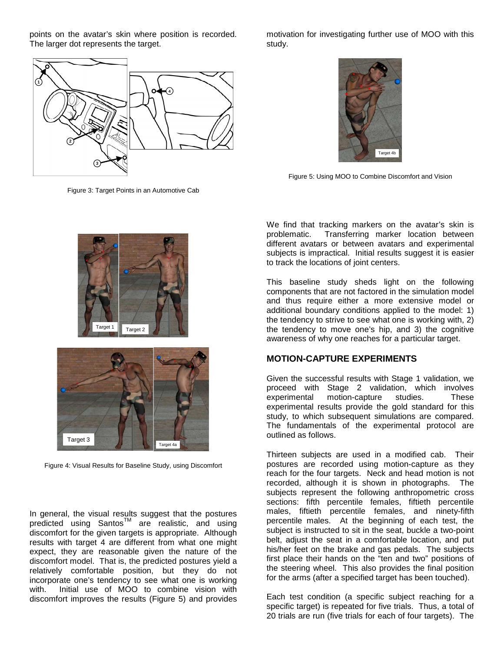points on the avatar's skin where position is recorded. The larger dot represents the target.



Figure 3: Target Points in an Automotive Cab

motivation for investigating further use of MOO with this study.



Figure 5: Using MOO to Combine Discomfort and Vision





Figure 4: Visual Results for Baseline Study, using Discomfort

In general, the visual results suggest that the postures  $predicted$  using Santos<sup>TM</sup> are realistic, and using discomfort for the given targets is appropriate. Although results with target 4 are different from what one might expect, they are reasonable given the nature of the discomfort model. That is, the predicted postures yield a relatively comfortable position, but they do not incorporate one's tendency to see what one is working with. Initial use of MOO to combine vision with discomfort improves the results (Figure 5) and provides

We find that tracking markers on the avatar's skin is problematic. Transferring marker location between different avatars or between avatars and experimental subjects is impractical. Initial results suggest it is easier to track the locations of joint centers.

This baseline study sheds light on the following components that are not factored in the simulation model and thus require either a more extensive model or additional boundary conditions applied to the model: 1) the tendency to strive to see what one is working with, 2) the tendency to move one's hip, and 3) the cognitive awareness of why one reaches for a particular target.

# **MOTION-CAPTURE EXPERIMENTS**

Given the successful results with Stage 1 validation, we proceed with Stage 2 validation, which involves experimental motion-capture studies. These experimental results provide the gold standard for this study, to which subsequent simulations are compared. The fundamentals of the experimental protocol are outlined as follows.

Thirteen subjects are used in a modified cab. Their postures are recorded using motion-capture as they reach for the four targets. Neck and head motion is not recorded, although it is shown in photographs. The subjects represent the following anthropometric cross sections: fifth percentile females, fiftieth percentile males, fiftieth percentile females, and ninety-fifth percentile males. At the beginning of each test, the subject is instructed to sit in the seat, buckle a two-point belt, adjust the seat in a comfortable location, and put his/her feet on the brake and gas pedals. The subjects first place their hands on the "ten and two" positions of the steering wheel. This also provides the final position for the arms (after a specified target has been touched).

Each test condition (a specific subject reaching for a specific target) is repeated for five trials. Thus, a total of 20 trials are run (five trials for each of four targets). The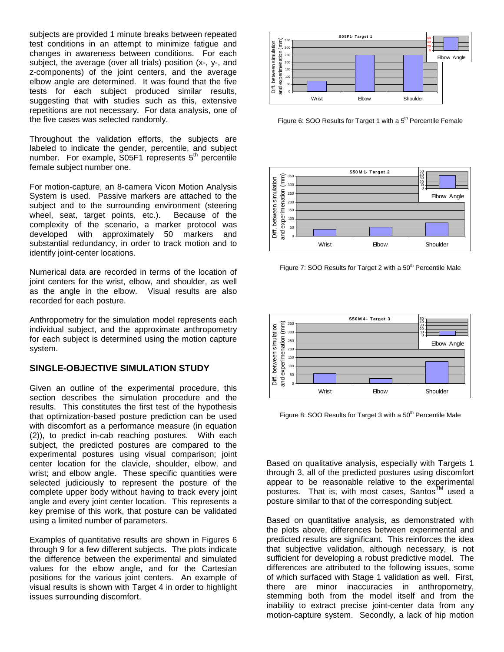subjects are provided 1 minute breaks between repeated test conditions in an attempt to minimize fatigue and changes in awareness between conditions. For each subject, the average (over all trials) position (x-, y-, and z-components) of the joint centers, and the average elbow angle are determined. It was found that the five tests for each subject produced similar results, suggesting that with studies such as this, extensive repetitions are not necessary. For data analysis, one of the five cases was selected randomly.

Throughout the validation efforts, the subjects are labeled to indicate the gender, percentile, and subject number. For example,  $S05F1$  represents  $5<sup>th</sup>$  percentile female subject number one.

For motion-capture, an 8-camera Vicon Motion Analysis System is used. Passive markers are attached to the subject and to the surrounding environment (steering wheel, seat, target points, etc.). Because of the complexity of the scenario, a marker protocol was developed with approximately 50 markers and substantial redundancy, in order to track motion and to identify joint-center locations.

Numerical data are recorded in terms of the location of joint centers for the wrist, elbow, and shoulder, as well as the angle in the elbow. Visual results are also recorded for each posture.

Anthropometry for the simulation model represents each individual subject, and the approximate anthropometry for each subject is determined using the motion capture system.

### **SINGLE-OBJECTIVE SIMULATION STUDY**

Given an outline of the experimental procedure, this section describes the simulation procedure and the results. This constitutes the first test of the hypothesis that optimization-based posture prediction can be used with discomfort as a performance measure (in equation (2)), to predict in-cab reaching postures. With each subject, the predicted postures are compared to the experimental postures using visual comparison; joint center location for the clavicle, shoulder, elbow, and wrist; and elbow angle. These specific quantities were selected judiciously to represent the posture of the complete upper body without having to track every joint angle and every joint center location. This represents a key premise of this work, that posture can be validated using a limited number of parameters.

Examples of quantitative results are shown in Figures 6 through 9 for a few different subjects. The plots indicate the difference between the experimental and simulated values for the elbow angle, and for the Cartesian positions for the various joint centers. An example of visual results is shown with Target 4 in order to highlight issues surrounding discomfort.



Figure 6: SOO Results for Target 1 with a 5<sup>th</sup> Percentile Female



Figure 7: SOO Results for Target 2 with a 50<sup>th</sup> Percentile Male



Figure 8: SOO Results for Target 3 with a  $50<sup>th</sup>$  Percentile Male

Based on qualitative analysis, especially with Targets 1 through 3, all of the predicted postures using discomfort appear to be reasonable relative to the experimental postures. That is, with most cases, Santos<sup>™</sup> used a posture similar to that of the corresponding subject.

Based on quantitative analysis, as demonstrated with the plots above, differences between experimental and predicted results are significant. This reinforces the idea that subjective validation, although necessary, is not sufficient for developing a robust predictive model. The differences are attributed to the following issues, some of which surfaced with Stage 1 validation as well. First, there are minor inaccuracies in anthropometry, stemming both from the model itself and from the inability to extract precise joint-center data from any motion-capture system. Secondly, a lack of hip motion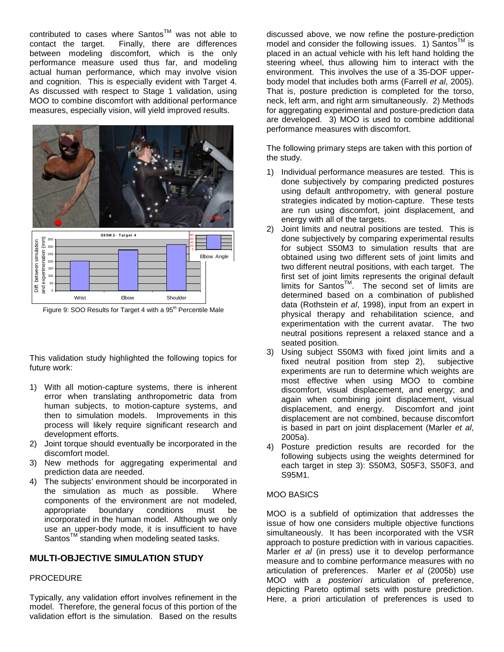contributed to cases where Santos<sup>TM</sup> was not able to contact the target. Finally, there are differences between modeling discomfort, which is the only performance measure used thus far, and modeling actual human performance, which may involve vision and cognition. This is especially evident with Target 4. As discussed with respect to Stage 1 validation, using MOO to combine discomfort with additional performance measures, especially vision, will yield improved results.



Figure 9: SOO Results for Target 4 with a 95<sup>th</sup> Percentile Male

This validation study highlighted the following topics for future work:

- 1) With all motion-capture systems, there is inherent error when translating anthropometric data from human subjects, to motion-capture systems, and then to simulation models. Improvements in this process will likely require significant research and development efforts.
- 2) Joint torque should eventually be incorporated in the discomfort model.
- 3) New methods for aggregating experimental and prediction data are needed.
- 4) The subjects' environment should be incorporated in the simulation as much as possible. Where components of the environment are not modeled, appropriate boundary conditions must be incorporated in the human model. Although we only use an upper-body mode, it is insufficient to have  $S$ antos<sup>™</sup> standing when modeling seated tasks.

# **MULTI-OBJECTIVE SIMULATION STUDY**

# PROCEDURE

Typically, any validation effort involves refinement in the model. Therefore, the general focus of this portion of the validation effort is the simulation. Based on the results

discussed above, we now refine the posture-prediction model and consider the following issues. 1) Santos<sup>TM</sup> is placed in an actual vehicle with his left hand holding the steering wheel, thus allowing him to interact with the environment. This involves the use of a 35-DOF upperbody model that includes both arms (Farrell et al, 2005). That is, posture prediction is completed for the torso, neck, left arm, and right arm simultaneously. 2) Methods for aggregating experimental and posture-prediction data are developed. 3) MOO is used to combine additional performance measures with discomfort.

The following primary steps are taken with this portion of the study.

- 1) Individual performance measures are tested. This is done subjectively by comparing predicted postures using default anthropometry, with general posture strategies indicated by motion-capture. These tests are run using discomfort, joint displacement, and energy with all of the targets.
- 2) Joint limits and neutral positions are tested. This is done subjectively by comparing experimental results for subject S50M3 to simulation results that are obtained using two different sets of joint limits and two different neutral positions, with each target. The first set of joint limits represents the original default limits for SantosTM. The second set of limits are determined based on a combination of published data (Rothstein et al, 1998), input from an expert in physical therapy and rehabilitation science, and experimentation with the current avatar. The two neutral positions represent a relaxed stance and a seated position.
- 3) Using subject S50M3 with fixed joint limits and a fixed neutral position from step 2), subjective experiments are run to determine which weights are most effective when using MOO to combine discomfort, visual displacement, and energy; and again when combining joint displacement, visual displacement, and energy. Discomfort and joint displacement are not combined, because discomfort is based in part on joint displacement (Marler et al, 2005a).
- 4) Posture prediction results are recorded for the following subjects using the weights determined for each target in step 3): S50M3, S05F3, S50F3, and S95M1.

### MOO BASICS

MOO is a subfield of optimization that addresses the issue of how one considers multiple objective functions simultaneously. It has been incorporated with the VSR approach to posture prediction with in various capacities. Marler et al (in press) use it to develop performance measure and to combine performance measures with no articulation of preferences. Marler et al (2005b) use MOO with a posteriori articulation of preference, depicting Pareto optimal sets with posture prediction. Here, a priori articulation of preferences is used to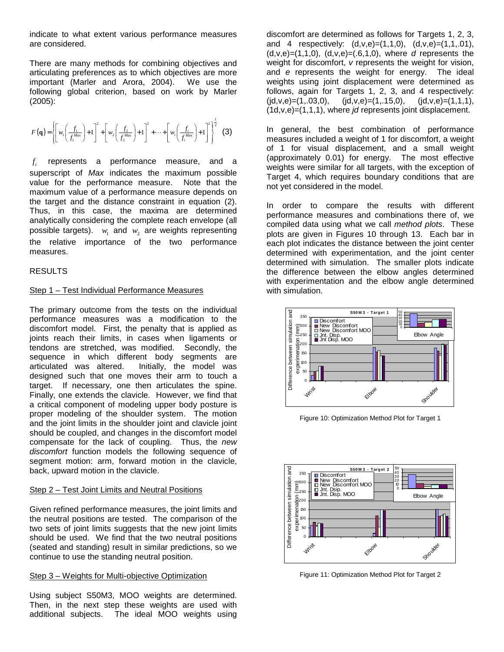indicate to what extent various performance measures are considered.

There are many methods for combining objectives and articulating preferences as to which objectives are more important (Marler and Arora, 2004). We use the following global criterion, based on work by Marler (2005):

$$
F(\mathbf{q}) = \left\{ \left[ w_1 \left( \frac{f_1}{f_1^{Max}} \right) + 1 \right]^2 + \left[ w_2 \left( \frac{f_2}{f_2^{Max}} \right) + 1 \right]^2 + \dots + \left[ w_i \left( \frac{f_i}{f_i^{Max}} \right) + 1 \right]^2 \right\}^{\frac{1}{2}} \tag{3}
$$

 $f_i$ *f* represents a performance measure, and a superscript of Max indicates the maximum possible value for the performance measure. Note that the maximum value of a performance measure depends on the target and the distance constraint in equation (2). Thus, in this case, the maxima are determined analytically considering the complete reach envelope (all possible targets).  $w_1$  and  $w_2$  are weights representing the relative importance of the two performance measures.

### RESULTS

### Step 1 – Test Individual Performance Measures

The primary outcome from the tests on the individual performance measures was a modification to the discomfort model. First, the penalty that is applied as joints reach their limits, in cases when ligaments or tendons are stretched, was modified. Secondly, the sequence in which different body segments are articulated was altered. Initially, the model was designed such that one moves their arm to touch a target. If necessary, one then articulates the spine. Finally, one extends the clavicle. However, we find that a critical component of modeling upper body posture is proper modeling of the shoulder system. The motion and the joint limits in the shoulder joint and clavicle joint should be coupled, and changes in the discomfort model compensate for the lack of coupling. Thus, the new discomfort function models the following sequence of segment motion: arm, forward motion in the clavicle, back, upward motion in the clavicle.

### Step 2 – Test Joint Limits and Neutral Positions

Given refined performance measures, the joint limits and the neutral positions are tested. The comparison of the two sets of joint limits suggests that the new joint limits should be used. We find that the two neutral positions (seated and standing) result in similar predictions, so we continue to use the standing neutral position.

### Step 3 – Weights for Multi-objective Optimization

Using subject S50M3, MOO weights are determined. Then, in the next step these weights are used with additional subjects. The ideal MOO weights using

discomfort are determined as follows for Targets 1, 2, 3, and 4 respectively: (d,v,e)=(1,1,0), (d,v,e)=(1,1,.01),  $(d,v,e)=(1,1,0), (d,v,e)=(.6,1,0),$  where d represents the weight for discomfort, v represents the weight for vision, and e represents the weight for energy. The ideal weights using joint displacement were determined as follows, again for Targets 1, 2, 3, and 4 respectively:  $(id, v, e) = (1, .03, 0),$   $(id, v, e) = (1, .15, 0),$   $(id, v, e) = (1, 1, 1),$  $(1d,v,e)=(1,1,1)$ , where *jd* represents joint displacement.

In general, the best combination of performance measures included a weight of 1 for discomfort, a weight of 1 for visual displacement, and a small weight (approximately 0.01) for energy. The most effective weights were similar for all targets, with the exception of Target 4, which requires boundary conditions that are not yet considered in the model.

In order to compare the results with different performance measures and combinations there of, we compiled data using what we call method plots. These plots are given in Figures 10 through 13. Each bar in each plot indicates the distance between the joint center determined with experimentation, and the joint center determined with simulation. The smaller plots indicate the difference between the elbow angles determined with experimentation and the elbow angle determined with simulation.



Figure 10: Optimization Method Plot for Target 1



Figure 11: Optimization Method Plot for Target 2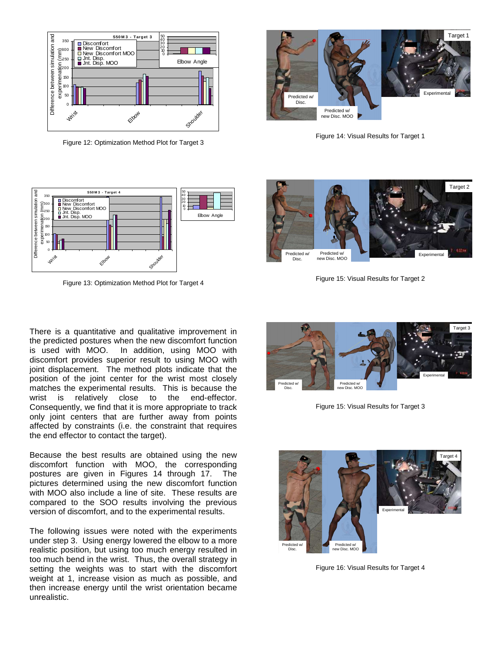

Figure 12: Optimization Method Plot for Target 3



Figure 14: Visual Results for Target 1



Figure 13: Optimization Method Plot for Target 4

There is a quantitative and qualitative improvement in the predicted postures when the new discomfort function is used with MOO. In addition, using MOO with discomfort provides superior result to using MOO with joint displacement. The method plots indicate that the position of the joint center for the wrist most closely matches the experimental results. This is because the wrist is relatively close to the end-effector. Consequently, we find that it is more appropriate to track only joint centers that are further away from points affected by constraints (i.e. the constraint that requires the end effector to contact the target).

Because the best results are obtained using the new discomfort function with MOO, the corresponding postures are given in Figures 14 through 17. The pictures determined using the new discomfort function with MOO also include a line of site. These results are compared to the SOO results involving the previous version of discomfort, and to the experimental results.

The following issues were noted with the experiments under step 3. Using energy lowered the elbow to a more realistic position, but using too much energy resulted in too much bend in the wrist. Thus, the overall strategy in setting the weights was to start with the discomfort weight at 1, increase vision as much as possible, and then increase energy until the wrist orientation became unrealistic.



Figure 15: Visual Results for Target 2



Figure 15: Visual Results for Target 3



Figure 16: Visual Results for Target 4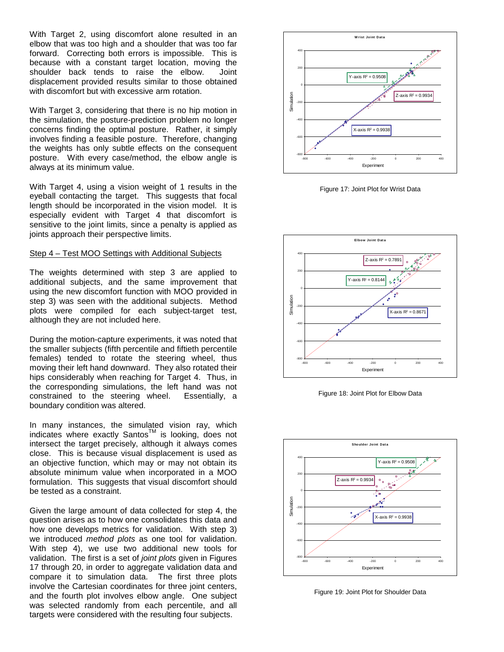With Target 2, using discomfort alone resulted in an elbow that was too high and a shoulder that was too far forward. Correcting both errors is impossible. This is because with a constant target location, moving the shoulder back tends to raise the elbow. Joint displacement provided results similar to those obtained with discomfort but with excessive arm rotation.

With Target 3, considering that there is no hip motion in the simulation, the posture-prediction problem no longer concerns finding the optimal posture. Rather, it simply involves finding a feasible posture. Therefore, changing the weights has only subtle effects on the consequent posture. With every case/method, the elbow angle is always at its minimum value.

With Target 4, using a vision weight of 1 results in the eyeball contacting the target. This suggests that focal length should be incorporated in the vision model. It is especially evident with Target 4 that discomfort is sensitive to the joint limits, since a penalty is applied as joints approach their perspective limits.

#### Step 4 – Test MOO Settings with Additional Subjects

The weights determined with step 3 are applied to additional subjects, and the same improvement that using the new discomfort function with MOO provided in step 3) was seen with the additional subjects. Method plots were compiled for each subject-target test, although they are not included here.

During the motion-capture experiments, it was noted that the smaller subjects (fifth percentile and fiftieth percentile females) tended to rotate the steering wheel, thus moving their left hand downward. They also rotated their hips considerably when reaching for Target 4. Thus, in the corresponding simulations, the left hand was not constrained to the steering wheel. Essentially, a boundary condition was altered.

In many instances, the simulated vision ray, which indicates where exactly Santos<sup>TM</sup> is looking, does not intersect the target precisely, although it always comes close. This is because visual displacement is used as an objective function, which may or may not obtain its absolute minimum value when incorporated in a MOO formulation. This suggests that visual discomfort should be tested as a constraint.

Given the large amount of data collected for step 4, the question arises as to how one consolidates this data and how one develops metrics for validation. With step 3) we introduced method plots as one tool for validation. With step 4), we use two additional new tools for validation. The first is a set of joint plots given in Figures 17 through 20, in order to aggregate validation data and compare it to simulation data. The first three plots involve the Cartesian coordinates for three joint centers, and the fourth plot involves elbow angle. One subject was selected randomly from each percentile, and all targets were considered with the resulting four subjects.



Figure 17: Joint Plot for Wrist Data



Figure 18: Joint Plot for Elbow Data



Figure 19: Joint Plot for Shoulder Data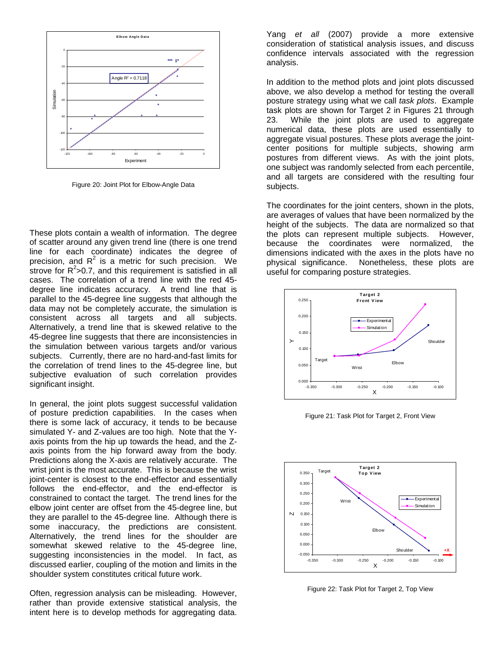

Figure 20: Joint Plot for Elbow-Angle Data

These plots contain a wealth of information. The degree of scatter around any given trend line (there is one trend line for each coordinate) indicates the degree of precision, and  $R^2$  is a metric for such precision. We strove for  $R^2$ >0.7, and this requirement is satisfied in all cases. The correlation of a trend line with the red 45 degree line indicates accuracy. A trend line that is parallel to the 45-degree line suggests that although the data may not be completely accurate, the simulation is consistent across all targets and all subjects. Alternatively, a trend line that is skewed relative to the 45-degree line suggests that there are inconsistencies in the simulation between various targets and/or various subjects. Currently, there are no hard-and-fast limits for the correlation of trend lines to the 45-degree line, but subjective evaluation of such correlation provides significant insight.

In general, the joint plots suggest successful validation of posture prediction capabilities. In the cases when there is some lack of accuracy, it tends to be because simulated Y- and Z-values are too high. Note that the Yaxis points from the hip up towards the head, and the Zaxis points from the hip forward away from the body. Predictions along the X-axis are relatively accurate. The wrist joint is the most accurate. This is because the wrist joint-center is closest to the end-effector and essentially follows the end-effector, and the end-effector is constrained to contact the target. The trend lines for the elbow joint center are offset from the 45-degree line, but they are parallel to the 45-degree line. Although there is some inaccuracy, the predictions are consistent. Alternatively, the trend lines for the shoulder are somewhat skewed relative to the 45-degree line, suggesting inconsistencies in the model. In fact, as discussed earlier, coupling of the motion and limits in the shoulder system constitutes critical future work.

Often, regression analysis can be misleading. However, rather than provide extensive statistical analysis, the intent here is to develop methods for aggregating data.

Yang et all (2007) provide a more extensive consideration of statistical analysis issues, and discuss confidence intervals associated with the regression analysis.

In addition to the method plots and joint plots discussed above, we also develop a method for testing the overall posture strategy using what we call task plots. Example task plots are shown for Target 2 in Figures 21 through 23. While the joint plots are used to aggregate numerical data, these plots are used essentially to aggregate visual postures. These plots average the jointcenter positions for multiple subjects, showing arm postures from different views. As with the joint plots, one subject was randomly selected from each percentile, and all targets are considered with the resulting four subjects.

The coordinates for the joint centers, shown in the plots, are averages of values that have been normalized by the height of the subjects. The data are normalized so that the plots can represent multiple subjects. However, because the coordinates were normalized, the dimensions indicated with the axes in the plots have no physical significance. Nonetheless, these plots are useful for comparing posture strategies.



Figure 21: Task Plot for Target 2, Front View



Figure 22: Task Plot for Target 2, Top View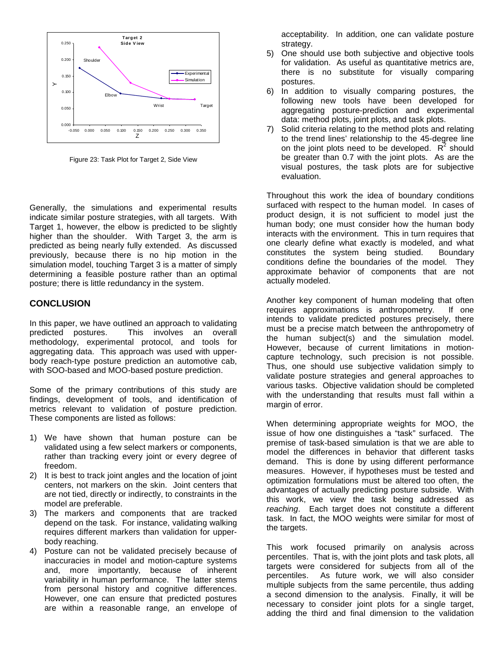

Figure 23: Task Plot for Target 2, Side View

Generally, the simulations and experimental results indicate similar posture strategies, with all targets. With Target 1, however, the elbow is predicted to be slightly higher than the shoulder. With Target 3, the arm is predicted as being nearly fully extended. As discussed previously, because there is no hip motion in the simulation model, touching Target 3 is a matter of simply determining a feasible posture rather than an optimal posture; there is little redundancy in the system.

# **CONCLUSION**

In this paper, we have outlined an approach to validating predicted postures. This involves an overall methodology, experimental protocol, and tools for aggregating data. This approach was used with upperbody reach-type posture prediction an automotive cab, with SOO-based and MOO-based posture prediction.

Some of the primary contributions of this study are findings, development of tools, and identification of metrics relevant to validation of posture prediction. These components are listed as follows:

- 1) We have shown that human posture can be validated using a few select markers or components, rather than tracking every joint or every degree of freedom.
- 2) It is best to track joint angles and the location of joint centers, not markers on the skin. Joint centers that are not tied, directly or indirectly, to constraints in the model are preferable.
- 3) The markers and components that are tracked depend on the task. For instance, validating walking requires different markers than validation for upperbody reaching.
- 4) Posture can not be validated precisely because of inaccuracies in model and motion-capture systems and, more importantly, because of inherent variability in human performance. The latter stems from personal history and cognitive differences. However, one can ensure that predicted postures are within a reasonable range, an envelope of

acceptability. In addition, one can validate posture strategy.

- 5) One should use both subjective and objective tools for validation. As useful as quantitative metrics are, there is no substitute for visually comparing postures.
- 6) In addition to visually comparing postures, the following new tools have been developed for aggregating posture-prediction and experimental data: method plots, joint plots, and task plots.
- 7) Solid criteria relating to the method plots and relating to the trend lines' relationship to the 45-degree line on the joint plots need to be developed.  $R^2$  should be greater than 0.7 with the joint plots. As are the visual postures, the task plots are for subjective evaluation.

Throughout this work the idea of boundary conditions surfaced with respect to the human model. In cases of product design, it is not sufficient to model just the human body; one must consider how the human body interacts with the environment. This in turn requires that one clearly define what exactly is modeled, and what constitutes the system being studied. Boundary conditions define the boundaries of the model. They approximate behavior of components that are not actually modeled.

Another key component of human modeling that often requires approximations is anthropometry. If one intends to validate predicted postures precisely, there must be a precise match between the anthropometry of the human subject(s) and the simulation model. However, because of current limitations in motioncapture technology, such precision is not possible. Thus, one should use subjective validation simply to validate posture strategies and general approaches to various tasks. Objective validation should be completed with the understanding that results must fall within a margin of error.

When determining appropriate weights for MOO, the issue of how one distinguishes a "task" surfaced. The premise of task-based simulation is that we are able to model the differences in behavior that different tasks demand. This is done by using different performance measures. However, if hypotheses must be tested and optimization formulations must be altered too often, the advantages of actually predicting posture subside. With this work, we view the task being addressed as reaching. Each target does not constitute a different task. In fact, the MOO weights were similar for most of the targets.

This work focused primarily on analysis across percentiles. That is, with the joint plots and task plots, all targets were considered for subjects from all of the percentiles. As future work, we will also consider multiple subjects from the same percentile, thus adding a second dimension to the analysis. Finally, it will be necessary to consider joint plots for a single target, adding the third and final dimension to the validation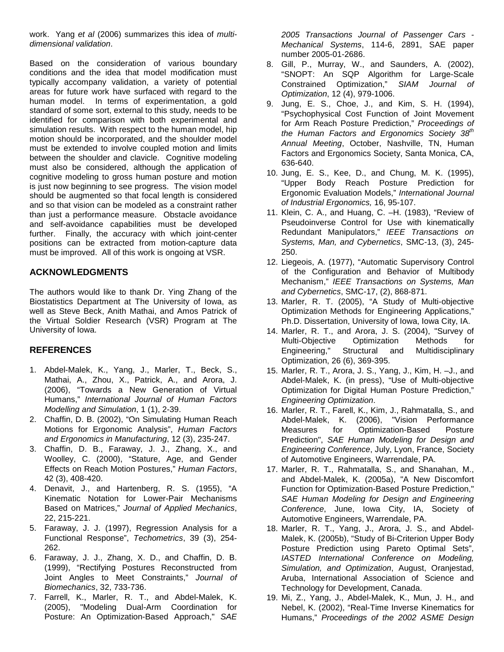work. Yang et al (2006) summarizes this idea of multidimensional validation.

Based on the consideration of various boundary conditions and the idea that model modification must typically accompany validation, a variety of potential areas for future work have surfaced with regard to the human model. In terms of experimentation, a gold standard of some sort, external to this study, needs to be identified for comparison with both experimental and simulation results. With respect to the human model, hip motion should be incorporated, and the shoulder model must be extended to involve coupled motion and limits between the shoulder and clavicle. Cognitive modeling must also be considered, although the application of cognitive modeling to gross human posture and motion is just now beginning to see progress. The vision model should be augmented so that focal length is considered and so that vision can be modeled as a constraint rather than just a performance measure. Obstacle avoidance and self-avoidance capabilities must be developed further. Finally, the accuracy with which joint-center positions can be extracted from motion-capture data must be improved. All of this work is ongoing at VSR.

# **ACKNOWLEDGMENTS**

The authors would like to thank Dr. Ying Zhang of the Biostatistics Department at The University of Iowa, as well as Steve Beck, Anith Mathai, and Amos Patrick of the Virtual Soldier Research (VSR) Program at The University of Iowa.

# **REFERENCES**

- 1. Abdel-Malek, K., Yang, J., Marler, T., Beck, S., Mathai, A., Zhou, X., Patrick, A., and Arora, J. (2006), "Towards a New Generation of Virtual Humans," International Journal of Human Factors Modelling and Simulation, 1 (1), 2-39.
- 2. Chaffin, D. B. (2002), "On Simulating Human Reach Motions for Ergonomic Analysis", Human Factors and Ergonomics in Manufacturing, 12 (3), 235-247.
- 3. Chaffin, D. B., Faraway, J. J., Zhang, X., and Woolley, C. (2000), "Stature, Age, and Gender Effects on Reach Motion Postures," Human Factors, 42 (3), 408-420.
- 4. Denavit, J., and Hartenberg, R. S. (1955), "A Kinematic Notation for Lower-Pair Mechanisms Based on Matrices," Journal of Applied Mechanics, 22, 215-221.
- 5. Faraway, J. J. (1997), Regression Analysis for a Functional Response", Techometrics, 39 (3), 254- 262.
- 6. Faraway, J. J., Zhang, X. D., and Chaffin, D. B. (1999), "Rectifying Postures Reconstructed from Joint Angles to Meet Constraints," Journal of Biomechanics, 32, 733-736.
- 7. Farrell, K., Marler, R. T., and Abdel-Malek, K. (2005), "Modeling Dual-Arm Coordination for Posture: An Optimization-Based Approach," SAE

2005 Transactions Journal of Passenger Cars - Mechanical Systems, 114-6, 2891, SAE paper number 2005-01-2686.

- 8. Gill, P., Murray, W., and Saunders, A. (2002), "SNOPT: An SQP Algorithm for Large-Scale Constrained Optimization," SIAM Journal of Optimization, 12 (4), 979-1006.
- 9. Jung, E. S., Choe, J., and Kim, S. H. (1994), "Psychophysical Cost Function of Joint Movement for Arm Reach Posture Prediction," Proceedings of the Human Factors and Ergonomics Society  $38<sup>th</sup>$ Annual Meeting, October, Nashville, TN, Human Factors and Ergonomics Society, Santa Monica, CA, 636-640.
- 10. Jung, E. S., Kee, D., and Chung, M. K. (1995), "Upper Body Reach Posture Prediction for Ergonomic Evaluation Models," International Journal of Industrial Ergonomics, 16, 95-107.
- 11. Klein, C. A., and Huang, C. –H. (1983), "Review of Pseudoinverse Control for Use with kinematically Redundant Manipulators," IEEE Transactions on Systems, Man, and Cybernetics, SMC-13, (3), 245- 250.
- 12. Liegeois, A. (1977), "Automatic Supervisory Control of the Configuration and Behavior of Multibody Mechanism," IEEE Transactions on Systems, Man and Cybernetics, SMC-17, (2), 868-871.
- 13. Marler, R. T. (2005), "A Study of Multi-objective Optimization Methods for Engineering Applications," Ph.D. Dissertation, University of Iowa, Iowa City, IA.
- 14. Marler, R. T., and Arora, J. S. (2004), "Survey of Multi-Objective Optimization Methods for Engineering," Structural and Multidisciplinary Optimization, 26 (6), 369-395.
- 15. Marler, R. T., Arora, J. S., Yang, J., Kim, H. –J., and Abdel-Malek, K. (in press), "Use of Multi-objective Optimization for Digital Human Posture Prediction," Engineering Optimization.
- 16. Marler, R. T., Farell, K., Kim, J., Rahmatalla, S., and Abdel-Malek, K. (2006), "Vision Performance Measures for Optimization-Based Posture Prediction", SAE Human Modeling for Design and Engineering Conference, July, Lyon, France, Society of Automotive Engineers, Warrendale, PA.
- 17. Marler, R. T., Rahmatalla, S., and Shanahan, M., and Abdel-Malek, K. (2005a), "A New Discomfort Function for Optimization-Based Posture Prediction," SAE Human Modeling for Design and Engineering Conference, June, Iowa City, IA, Society of Automotive Engineers, Warrendale, PA.
- 18. Marler, R. T., Yang, J., Arora, J. S., and Abdel-Malek, K. (2005b), "Study of Bi-Criterion Upper Body Posture Prediction using Pareto Optimal Sets", IASTED International Conference on Modeling, Simulation, and Optimization, August, Oranjestad, Aruba, International Association of Science and Technology for Development, Canada.
- 19. Mi, Z., Yang, J., Abdel-Malek, K., Mun, J. H., and Nebel, K. (2002), "Real-Time Inverse Kinematics for Humans," Proceedings of the 2002 ASME Design